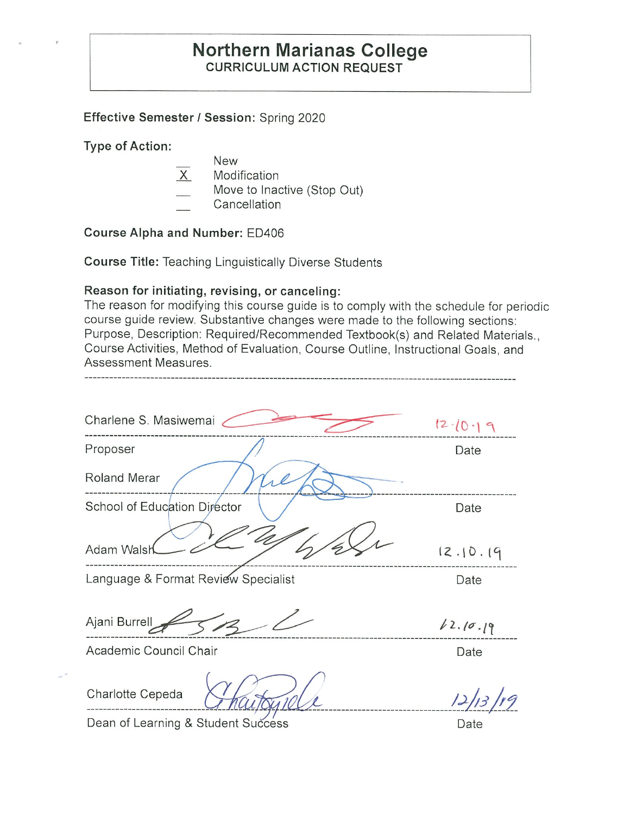## **Northern Marianas College CURRICULUM ACTION REQUEST**

### **Effective Semester/ Session:** Spring 2020

**Type of Action:** 

- New
- $X$  Modification
- Move to Inactive (Stop Out)
- Cancellation

**Course Alpha and Number:** ED406

**Course Title:** Teaching Linguistically Diverse Students

### **Reason for initiating, revising, or canceling:**

The reason for modifying this course guide is to comply with the schedule for periodic course guide review. Substantive changes were made to the following sections: Purpose, Description: Required/Recommended Textbook(s) and Related Materials., Course Activities, Method of Evaluation, Course Outline, Instructional Goals, and Assessment Measures.

| Charlene S. Masiwemai               | $12 - 10 - 19$ |
|-------------------------------------|----------------|
| Proposer                            | Date           |
| <b>Roland Merar</b>                 |                |
| School of Education Director        | Date           |
| Adam Walsh                          | 12.10.19       |
| Language & Format Review Specialist | Date           |
| Ajani Burrell                       | 12.10.19       |
| Academic Council Chair              | Date           |
| Charlotte Cepeda                    |                |

Dean of Learning & Student Success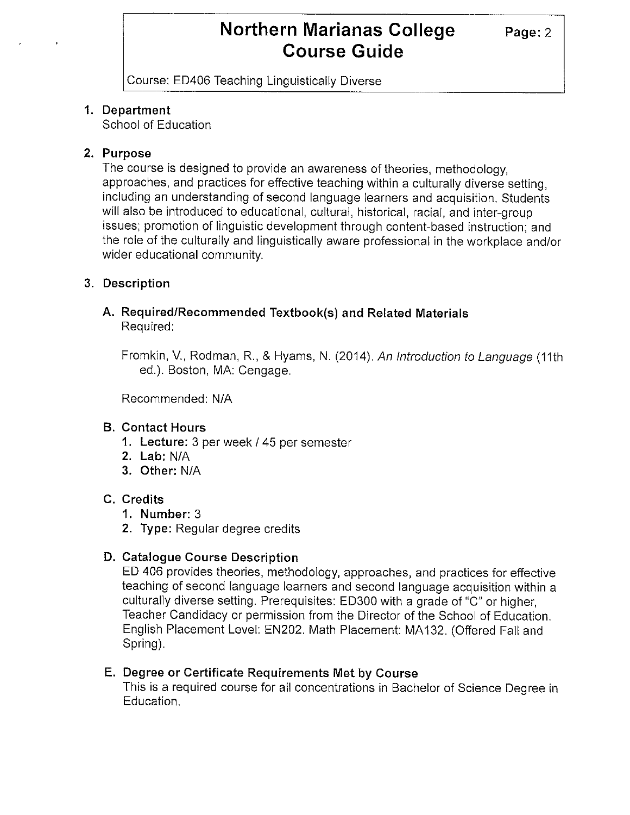Course: ED406 Teaching Linguistically Diverse

## **1. Department**

School of Education

### **2. Purpose**

The course is designed to provide an awareness of theories, methodology, approaches, and practices for effective teaching within a culturally diverse setting, including an understanding of second language learners and acquisition. Students will also be introduced to educational, cultural, historical, racial, and inter-group issues; promotion of linguistic development through content-based instruction; and the role of the culturally and linguistically aware professional in the workplace and/or wider educational community.

### **3. Description**

#### **A. Required/Recommended Textbook(s) and Related Materials**  Required:

Fromkin, V., Rodman, R., & Hyams, N. (2014). An Introduction to Language (11th ed.). Boston, MA: Cengage.

Recommended: N/A

## **B. Contact Hours**

- **1. Lecture:** 3 per week/ 45 per semester
- **2. Lab:** N/A
- **3. Other:** N/A

#### **C. Credits**

- **1. Number:** 3
- **2. Type:** Regular degree credits

## **D. Catalogue Course Description**

ED 406 provides theories, methodology, approaches, and practices for effective teaching of second language learners and second language acquisition within a culturally diverse setting. Prerequisites: ED300 with a grade of "C" or higher, Teacher Candidacy or permission from the Director of the School of Education. English Placement Level: EN202. Math Placement: MA 132. (Offered Fall and Spring).

#### **E. Degree or Certificate Requirements Met by Course**

This is a required course for all concentrations in Bachelor of Science Degree in Education.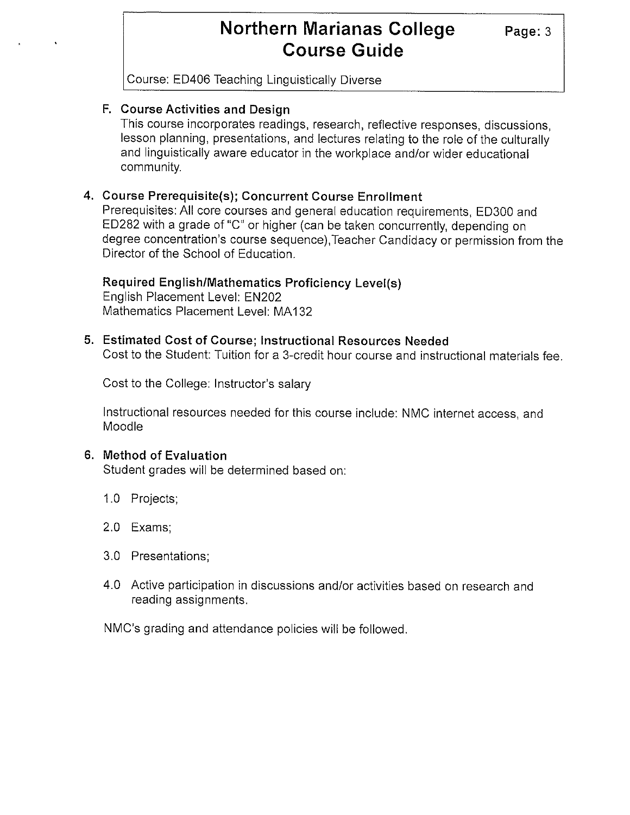Course: ED406 Teaching Linguistically Diverse

## **F. Course Activities and Design**

This course incorporates readings, research, reflective responses, discussions, lesson planning, presentations, and lectures relating to the role of the culturally and linguistically aware educator in the workplace and/or wider educational community.

## **4. Course Prerequisite(s); Concurrent Course Enrollment**

Prerequisites: All core courses and general education requirements, ED300 and ED282 with a grade of "C" or higher (can be taken concurrently, depending on degree concentration's course sequence),Teacher Candidacy or permission from the Director of the School of Education.

## **Required English/Mathematics Proficiency Level(s)**

English Placement Level: EN202 Mathematics Placement Level: MA 132

### **5. Estimated Cost of Course; Instructional Resources Needed**

Cost to the Student: Tuition for a 3-credit hour course and instructional materials fee.

Cost to the College: Instructor's salary

Instructional resources needed for this course include: NMC internet access, and Moodie

#### **6. Method of Evaluation**

Student grades will be determined based on:

- 1.0 Projects;
- 2.0 Exams;
- 3.0 Presentations;
- 4.0 Active participation in discussions and/or activities based on research and reading assignments.

NMC's grading and attendance policies will be followed.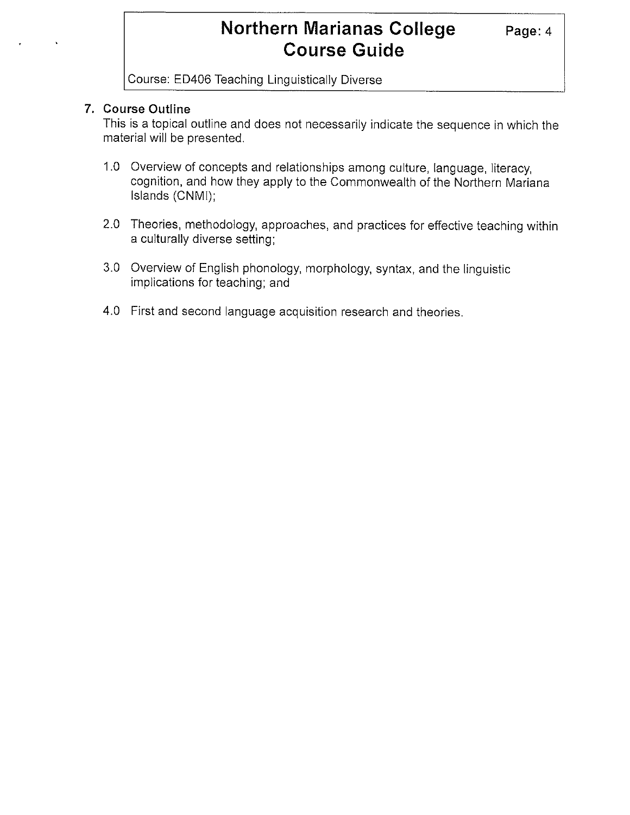Course: ED406 Teaching Linguistically Diverse

### **7. Course Outline**

This is a topical outline and does not necessarily indicate the sequence in which the material will be presented.

- 1.0 Overview of concepts and relationships among culture, language, literacy, cognition, and how they apply to the Commonwealth of the Northern Mariana Islands (CNMI);
- 2.0 Theories, methodology, approaches, and practices for effective teaching within a culturally diverse setting;
- 3.0 Overview of English phonology, morphology, syntax, and the linguistic implications for teaching; and
- 4.0 First and second language acquisition research and theories.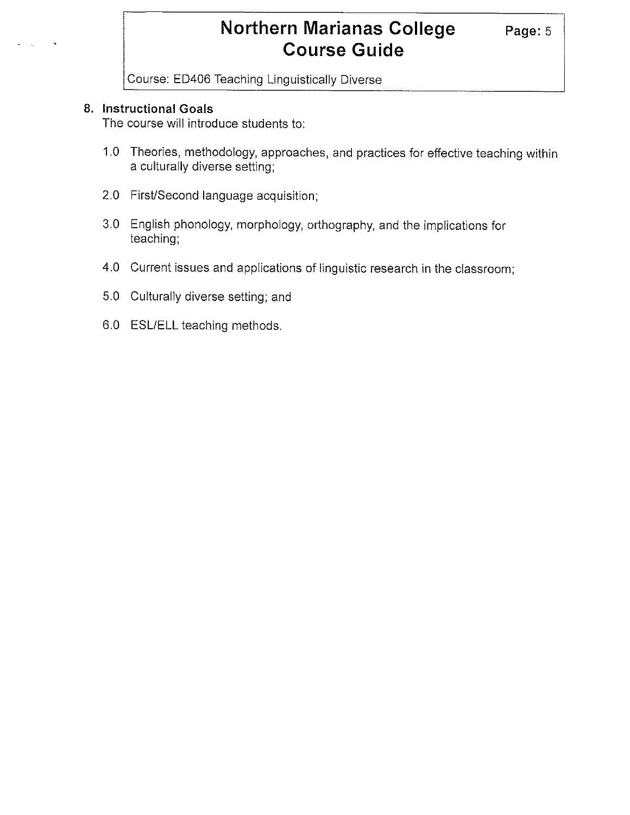Course: ED406 Teaching Linguistically Diverse

#### **8. Instructional Goals**

The course will introduce students to:

- 1.0 Theories, methodology, approaches, and practices for effective teaching within a culturally diverse setting;
- 2.0 First/Second language acquisition;
- 3.0 English phonology, morphology, orthography, and the implications for teaching;
- 4.0 Current issues and applications of linguistic research in the classroom;
- 5.0 Culturally diverse setting; and
- 6.0 ESL/ELL teaching methods.